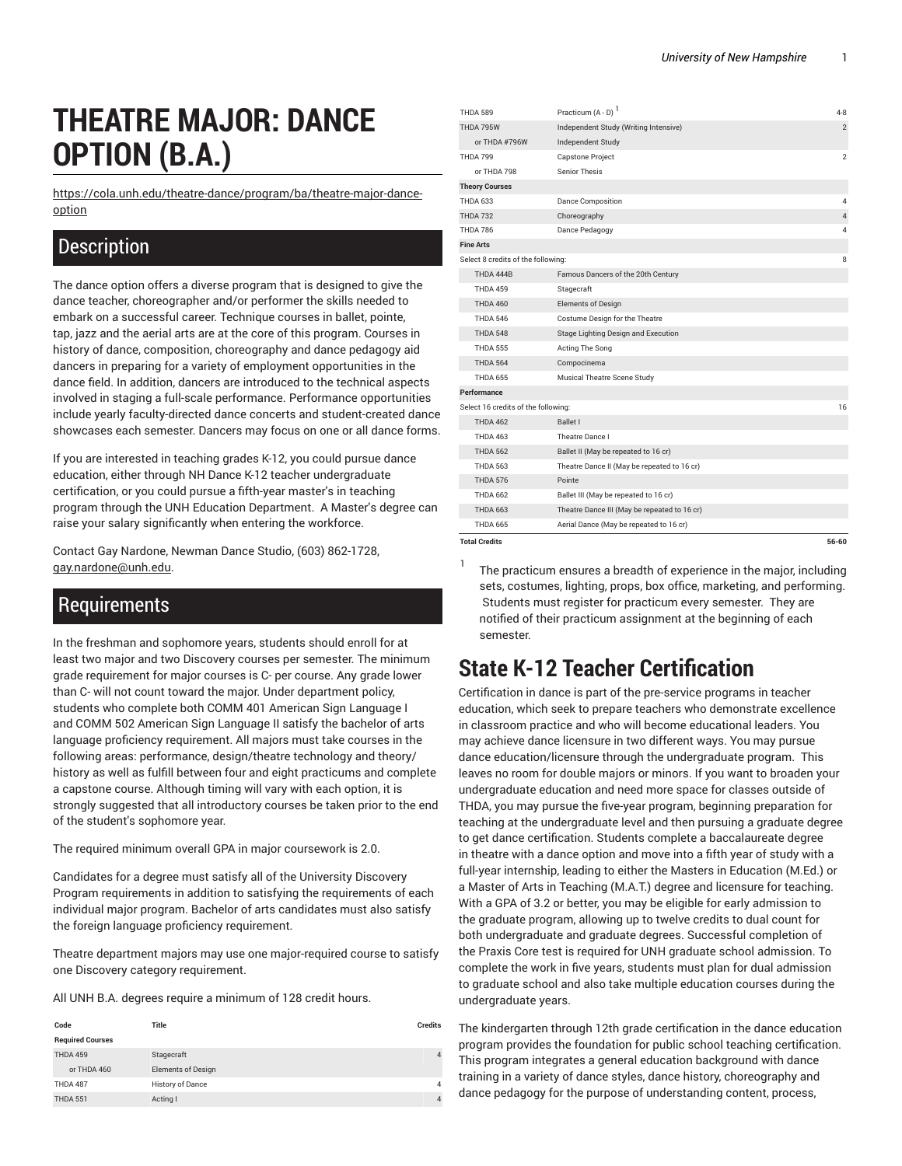# **THEATRE MAJOR: DANCE OPTION (B.A.)**

[https://cola.unh.edu/theatre-dance/program/ba/theatre-major-dance](https://cola.unh.edu/theatre-dance/program/ba/theatre-major-dance-option/)[option](https://cola.unh.edu/theatre-dance/program/ba/theatre-major-dance-option/)

### **Description**

The dance option offers a diverse program that is designed to give the dance teacher, choreographer and/or performer the skills needed to embark on a successful career. Technique courses in ballet, pointe, tap, jazz and the aerial arts are at the core of this program. Courses in history of dance, composition, choreography and dance pedagogy aid dancers in preparing for a variety of employment opportunities in the dance field. In addition, dancers are introduced to the technical aspects involved in staging a full-scale performance. Performance opportunities include yearly faculty-directed dance concerts and student-created dance showcases each semester. Dancers may focus on one or all dance forms.

If you are interested in teaching grades K-12, you could pursue dance education, either through NH Dance K-12 teacher undergraduate certification, or you could pursue a fifth-year master's in teaching program through the UNH Education Department. A Master's degree can raise your salary significantly when entering the workforce.

Contact Gay Nardone, Newman Dance Studio, (603) 862-1728, [gay.nardone@unh.edu](mailto:gay.nardone@unh.edu).

#### **Requirements**

In the freshman and sophomore years, students should enroll for at least two major and two Discovery courses per semester. The minimum grade requirement for major courses is C- per course. Any grade lower than C- will not count toward the major. Under department policy, students who complete both COMM 401 American Sign Language I and COMM 502 American Sign Language II satisfy the bachelor of arts language proficiency requirement. All majors must take courses in the following areas: performance, design/theatre technology and theory/ history as well as fulfill between four and eight practicums and complete a capstone course. Although timing will vary with each option, it is strongly suggested that all introductory courses be taken prior to the end of the student's sophomore year.

The required minimum overall GPA in major coursework is 2.0.

Candidates for a degree must satisfy all of the University Discovery Program requirements in addition to satisfying the requirements of each individual major program. Bachelor of arts candidates must also satisfy the foreign language proficiency requirement.

Theatre department majors may use one major-required course to satisfy one Discovery category requirement.

All UNH B.A. degrees require a minimum of 128 credit hours.

| Code                    | <b>Title</b>              | <b>Credits</b> |
|-------------------------|---------------------------|----------------|
| <b>Required Courses</b> |                           |                |
| <b>THDA 459</b>         | Stagecraft                |                |
| or THDA 460             | <b>Elements of Design</b> |                |
| THDA 487                | History of Dance          | 4              |
| <b>THDA 551</b>         | Acting I                  | 4              |

| <b>THDA 589</b>                     | Practicum $(A - D)^{1}$                      | $4 - 8$        |
|-------------------------------------|----------------------------------------------|----------------|
| THDA 795W                           | Independent Study (Writing Intensive)        | $\overline{2}$ |
| or THDA #796W                       | Independent Study                            |                |
| <b>THDA 799</b>                     | Capstone Project                             | $\overline{2}$ |
| or THDA 798                         | <b>Senior Thesis</b>                         |                |
| <b>Theory Courses</b>               |                                              |                |
| <b>THDA 633</b>                     | <b>Dance Composition</b>                     | 4              |
| <b>THDA 732</b>                     | Choreography                                 | $\overline{4}$ |
| <b>THDA 786</b>                     | Dance Pedagogy                               | 4              |
| <b>Fine Arts</b>                    |                                              |                |
| Select 8 credits of the following:  |                                              | 8              |
| THDA 444B                           | Famous Dancers of the 20th Century           |                |
| <b>THDA 459</b>                     | Stagecraft                                   |                |
| <b>THDA 460</b>                     | <b>Elements of Design</b>                    |                |
| <b>THDA 546</b>                     | Costume Design for the Theatre               |                |
| THDA 548                            | Stage Lighting Design and Execution          |                |
| <b>THDA 555</b>                     | Acting The Song                              |                |
| <b>THDA 564</b>                     | Compocinema                                  |                |
| <b>THDA 655</b>                     | Musical Theatre Scene Study                  |                |
| Performance                         |                                              |                |
| Select 16 credits of the following: |                                              | 16             |
| <b>THDA 462</b>                     | <b>Ballet I</b>                              |                |
| <b>THDA 463</b>                     | Theatre Dance I                              |                |
| <b>THDA 562</b>                     | Ballet II (May be repeated to 16 cr)         |                |
| <b>THDA 563</b>                     | Theatre Dance II (May be repeated to 16 cr)  |                |
| <b>THDA 576</b>                     | Pointe                                       |                |
| <b>THDA 662</b>                     | Ballet III (May be repeated to 16 cr)        |                |
| <b>THDA 663</b>                     | Theatre Dance III (May be repeated to 16 cr) |                |
| <b>THDA 665</b>                     | Aerial Dance (May be repeated to 16 cr)      |                |
| <b>Total Credits</b>                |                                              | 56-60          |

The practicum ensures a breadth of experience in the major, including sets, costumes, lighting, props, box office, marketing, and performing. Students must register for practicum every semester. They are notified of their practicum assignment at the beginning of each semester.

## **State K-12 Teacher Certification**

1

Certification in dance is part of the pre-service programs in teacher education, which seek to prepare teachers who demonstrate excellence in classroom practice and who will become educational leaders. You may achieve dance licensure in two different ways. You may pursue dance education/licensure through the undergraduate program. This leaves no room for double majors or minors. If you want to broaden your undergraduate education and need more space for classes outside of THDA, you may pursue the five-year program, beginning preparation for teaching at the undergraduate level and then pursuing a graduate degree to get dance certification. Students complete a baccalaureate degree in theatre with a dance option and move into a fifth year of study with a full-year internship, leading to either the Masters in Education (M.Ed.) or a Master of Arts in Teaching (M.A.T.) degree and licensure for teaching. With a GPA of 3.2 or better, you may be eligible for early admission to the graduate program, allowing up to twelve credits to dual count for both undergraduate and graduate degrees. Successful completion of the Praxis Core test is required for UNH graduate school admission. To complete the work in five years, students must plan for dual admission to graduate school and also take multiple education courses during the undergraduate years.

The kindergarten through 12th grade certification in the dance education program provides the foundation for public school teaching certification. This program integrates a general education background with dance training in a variety of dance styles, dance history, choreography and dance pedagogy for the purpose of understanding content, process,